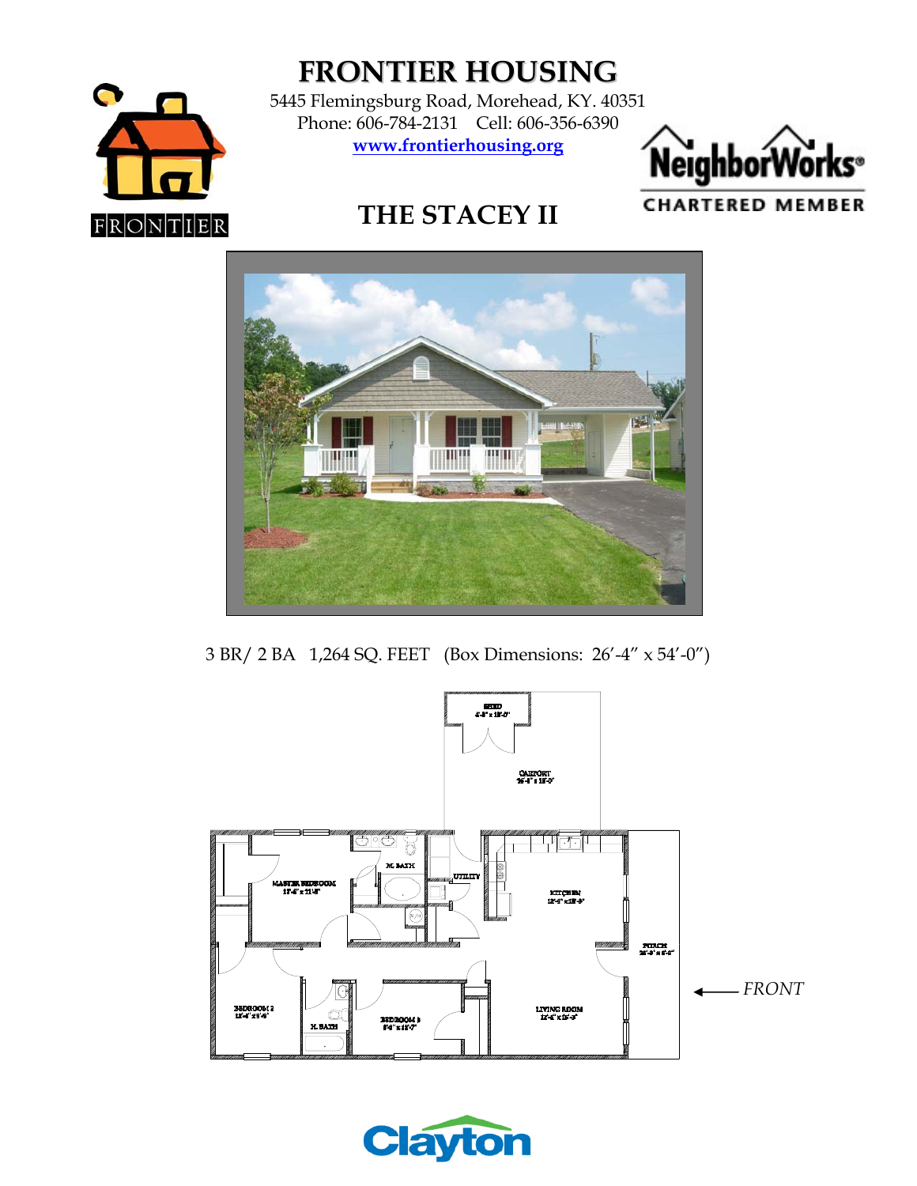

**FRONTIER HOUSING**

5445 Flemingsburg Road, Morehead, KY. 40351 Phone: 606-784-2131 Cell: 606-356-6390 **www.frontierhousing.org**



**CHARTERED MEMBER** 

**THE STACEY II** 



3 BR/ 2 BA 1,264 SQ. FEET (Box Dimensions: 26'-4" x 54'-0")